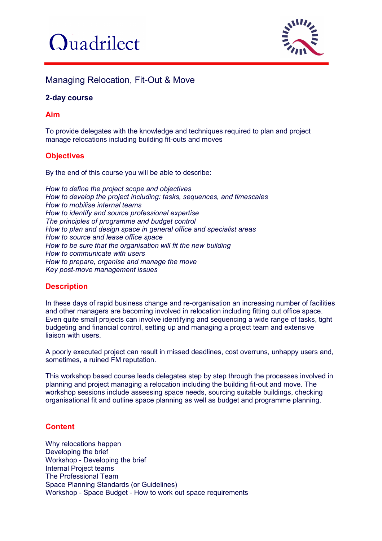



# Managing Relocation, Fit-Out & Move

## **2-day course**

### **Aim**

To provide delegates with the knowledge and techniques required to plan and project manage relocations including building fit-outs and moves

### **Objectives**

By the end of this course you will be able to describe:

*How to define the project scope and objectives How to develop the project including: tasks, sequences, and timescales How to mobilise internal teams How to identify and source professional expertise The principles of programme and budget control How to plan and design space in general office and specialist areas How to source and lease office space How to be sure that the organisation will fit the new building How to communicate with users How to prepare, organise and manage the move Key post-move management issues*

### **Description**

In these days of rapid business change and re-organisation an increasing number of facilities and other managers are becoming involved in relocation including fitting out office space. Even quite small projects can involve identifying and sequencing a wide range of tasks, tight budgeting and financial control, setting up and managing a project team and extensive liaison with users.

A poorly executed project can result in missed deadlines, cost overruns, unhappy users and, sometimes, a ruined FM reputation.

This workshop based course leads delegates step by step through the processes involved in planning and project managing a relocation including the building fit-out and move. The workshop sessions include assessing space needs, sourcing suitable buildings, checking organisational fit and outline space planning as well as budget and programme planning.

### **Content**

Why relocations happen Developing the brief Workshop - Developing the brief Internal Project teams The Professional Team Space Planning Standards (or Guidelines) Workshop - Space Budget - How to work out space requirements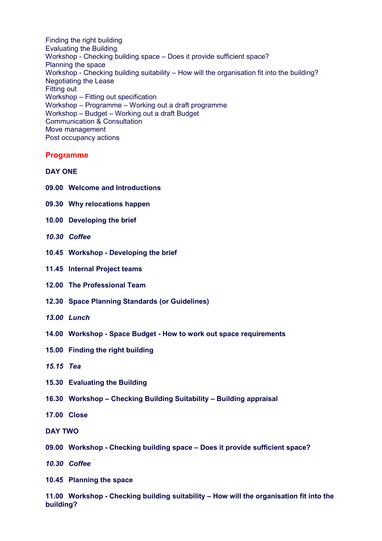Finding the right building Evaluating the Building Workshop - Checking building space – Does it provide sufficient space? Planning the space Workshop - Checking building suitability – How will the organisation fit into the building? Negotiating the Lease Fitting out Workshop – Fitting out specification Workshop – Programme – Working out a draft programme Workshop – Budget – Working out a draft Budget Communication & Consultation Move management Post occupancy actions

#### **Programme**

#### **DAY ONE**

- **09.00 Welcome and Introductions**
- **09.30 Why relocations happen**
- **10.00 Developing the brief**
- *10.30 Coffee*
- **10.45 Workshop - Developing the brief**
- **11.45 Internal Project teams**
- **12.00 The Professional Team**
- **12.30 Space Planning Standards (or Guidelines)**
- *13.00 Lunch*
- **14.00 Workshop - Space Budget - How to work out space requirements**
- **15.00 Finding the right building**
- *15.15 Tea*
- **15.30 Evaluating the Building**
- **16.30 Workshop – Checking Building Suitability – Building appraisal**
- **17.00 Close**
- **DAY TWO**
- **09.00 Workshop - Checking building space – Does it provide sufficient space?**
- *10.30 Coffee*
- **10.45 Planning the space**

**11.00 Workshop - Checking building suitability – How will the organisation fit into the building?**